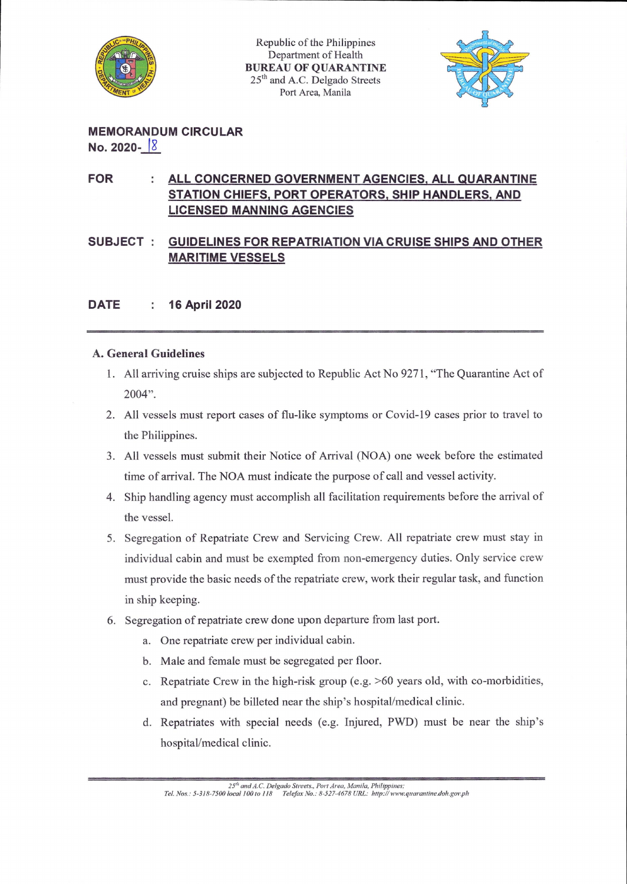

Republic of the Philippines Department of Health BUREAU OF QUARANTINE 25<sup>th</sup> and A.C. Delgado Streets Port Area, Manila



MEMORANDUM CIRCULAR No. 2020- IS

## FOR : ALL CONCERNED GOVERNMENT AGENCIES, ALL QUARANTINE STATION CHIEFS. PORT OPERATORS. SHIP HANDLERS. AND LICENSED MANNING AGENCIES

SUBJECT : GUIDELINES FOR REPATRIATION VIA CRUISE SHIPS AND OTHER MARITIME VESSELS

## DATE : 16 April 2020

## A. General Guidelines

- 1. All arriving cruise ships are subjected to Republic Act No 9271, "The Quarantine Act of 2004".
- 2. All vessels must report cases of flu-like symptoms or Covid-19 cases prior to travel to the Philippines.
- 3. All vessels must submit their Notice of Arrival (NOA) one week before the estimated time of arrival. The NOA must indicate the purpose of call and vessel activity.
- 4. Ship handling agency must accomplish all facilitation requirements before the arrival of the vessel.
- 5. Segregation of Repatriate Crew and Servicing Crew. All repatriate crew must stay in individual cabin and must be exempted from non-emergency duties. Only service crew must provide the basic needs of the repatriate crew, work their regular task, and function in ship keeping.
- 6. Segregation of repatriate crew done upon departure from last port.
	- a. One repatriate crew per individual cabin.
	- b. Male and female must be segregated per floor.
	- c. Repatriate Crew in the high-risk group (e.g. >60 years old, with co-morbidities, and pregnant) be billeted near the ship's hospital/medical clinic.
	- d. Repatriates with special needs (e.g. Injured, PWD) must be near the ship's hospital/medical clinic.

<sup>25&</sup>quot; and A.C. Delgado Streets., Port Area, Manila, Philippines;<br>Tel. Nos.: 5-318-7500 local 100 to 118 — Telefax No.: 8-527-4678 URL: http://www.quarantine.doh.gov.ph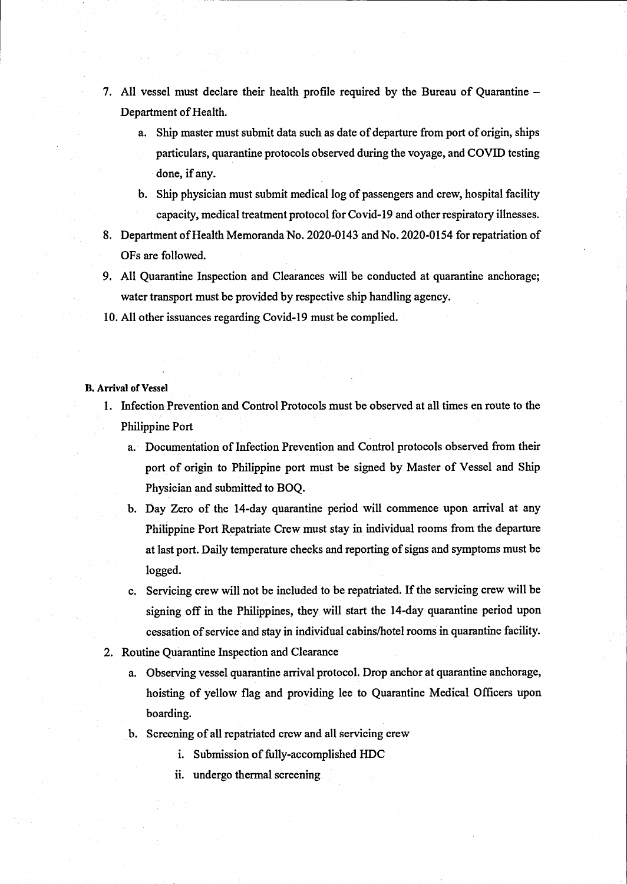- 7. All vessel must declare their health profile required by the Bureau of Quarantine -Department of Health.
	- a. Ship master must submit data such as date of departure from port of origin, ships particulars, quarantine protocols observed during the voyage, and COVID testing done, if any.
	- b. Ship physician must submit medical log of passengers and crew, hospital facility capacity, medical treatment protocol for Covid-19 and other respiratory illnesses.
- 8. Department of Health Memoranda No. 2020-0143 and No. 2020-0154 for repatriation of OFs are followed.
- 9. All Quarantine Inspection and Clearances will be conducted at quarantine anchorage; water transport must be provided by respective ship handling agency.
- 10. All other issuances regarding Covid-19 must be complied.

**B.** Arrival of Vessel

- 1. Infection Prevention and Control Protocols must be observed at all times en route to the Philippine Port
	- a. Documentation of Infection Prevention and Control protocols observed from their port of origin to Philippine port must be signed by Master of Vessel and Ship Physician and submitted to BOQ.
	- b. Day Zero of the 14-day quarantine period will commence upon arrival at any Philippine Port Repatriate Crew must stay in individual rooms from the departure at last port. Daily temperature checks and reporting of signs and symptoms must be logged.
	- c. Servicing crew will not be included to be repatriated. If the servicing crew will be signing off in the Philippines, they will start the 14-day quarantine period upon cessation of service and stay in individual cabins/hotel rooms in quarantine facility.
- 2. Routine Quarantine Inspection and Clearance
	- a. Observing vessel quarantine arrival protocol. Drop anchor at quarantine anchorage, hoisting of yellow flag and providing lee to Quarantine Medical Officers upon boarding.
	- b. Screening of all repatriated crew and all servicing crew
		- i. Submission of fully-accomplished HDC
		- ii. undergo thermal screening